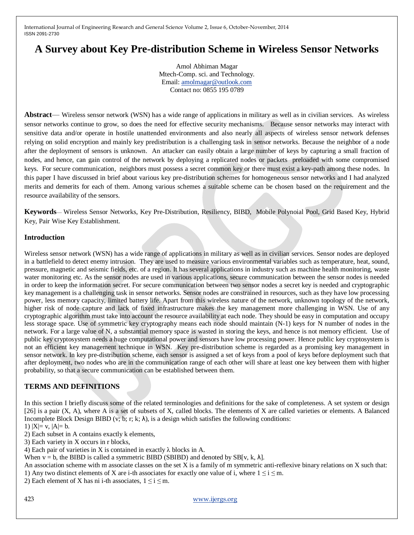# **A Survey about Key Pre-distribution Scheme in Wireless Sensor Networks**

Amol Abhiman Magar Mtech-Comp. sci. and Technology. Email: [amolmagar@outlook.com](mailto:amolmagar@outlook.com) Contact no: 0855 195 0789

**Abstract**— Wireless sensor network (WSN) has a wide range of applications in military as well as in civilian services. As wireless sensor networks continue to grow, so does the need for effective security mechanisms. Because sensor networks may interact with sensitive data and/or operate in hostile unattended environments and also nearly all aspects of wireless sensor network defenses relying on solid encryption and mainly key predistribution is a challenging task in sensor networks. Because the neighbor of a node after the deployment of sensors is unknown. An attacker can easily obtain a large number of keys by capturing a small fraction of nodes, and hence, can gain control of the network by deploying a replicated nodes or packets preloaded with some compromised keys. For secure communication, neighbors must possess a secret common key or there must exist a key-path among these nodes. In this paper I have discussed in brief about various key pre-distribution schemes for homogeneous sensor networks and I had analyzed merits and demerits for each of them. Among various schemes a suitable scheme can be chosen based on the requirement and the resource availability of the sensors.

**Keywords**— Wireless Sensor Networks, Key Pre-Distribution, Resiliency, BIBD, Mobile Polynoial Pool, Grid Based Key, Hybrid Key, Pair Wise Key Establishment.

### **Introduction**

Wireless sensor network (WSN) has a wide range of applications in military as well as in civilian services. Sensor nodes are deployed in a battlefield to detect enemy intrusion. They are used to measure various environmental variables such as temperature, heat, sound, pressure, magnetic and seismic fields, etc. of a region. It has several applications in industry such as machine health monitoring, waste water monitoring etc. As the sensor nodes are used in various applications, secure communication between the sensor nodes is needed in order to keep the information secret. For secure communication between two sensor nodes a secret key is needed and cryptographic key management is a challenging task in sensor networks. Sensor nodes are constrained in resources, such as they have low processing power, less memory capacity, limited battery life. Apart from this wireless nature of the network, unknown topology of the network, higher risk of node capture and lack of fixed infrastructure makes the key management more challenging in WSN. Use of any cryptographic algorithm must take into account the resource availability at each node. They should be easy in computation and occupy less storage space. Use of symmetric key cryptography means each node should maintain (N-1) keys for N number of nodes in the network. For a large value of N, a substantial memory space is wasted in storing the keys, and hence is not memory efficient. Use of public key cryptosystem needs a huge computational power and sensors have low processing power. Hence public key cryptosystem is not an efficient key management technique in WSN. Key pre-distribution scheme is regarded as a promising key management in sensor network. In key pre-distribution scheme, each sensor is assigned a set of keys from a pool of keys before deployment such that after deployment, two nodes who are in the communication range of each other will share at least one key between them with higher probability, so that a secure communication can be established between them.

# **TERMS AND DEFINITIONS**

In this section I briefly discuss some of the related terminologies and definitions for the sake of completeness. A set system or design [26] is a pair (X, A), where A is a set of subsets of X, called blocks. The elements of X are called varieties or elements. A Balanced Incomplete Block Design BIBD (v; b; r; k;  $\lambda$ ), is a design which satisfies the following conditions:

1)  $|X|= v, |A|= b.$ 

2) Each subset in A contains exactly k elements,

3) Each variety in X occurs in r blocks,

4) Each pair of varieties in X is contained in exactly  $\lambda$  blocks in A.

When  $v = b$ , the BIBD is called a symmetric BIBD (SBIBD) and denoted by SB[v, k,  $\lambda$ ].

An association scheme with m associate classes on the set X is a family of m symmetric anti-reflexive binary relations on X such that: 1) Any two distinct elements of X are i-th associates for exactly one value of i, where  $1 \le i \le m$ .

2) Each element of X has ni i-th associates,  $1 \le i \le m$ .

423 [www.ijergs.org](http://www.ijergs.org/)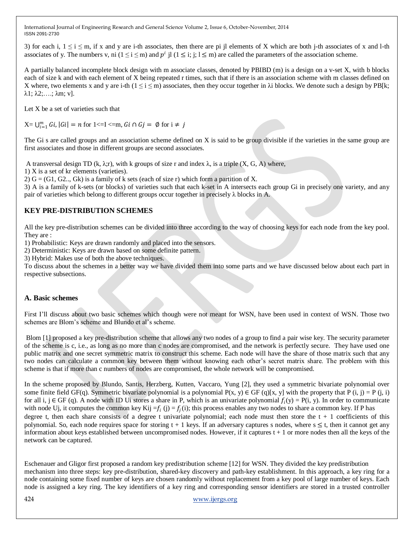3) for each i,  $1 \le i \le m$ , if x and y are i-th associates, then there are pi jl elements of X which are both j-th associates of x and l-th associates of y. The numbers v, ni  $(1 \le i \le m)$  and  $p^i$  jl  $(1 \le i; j; l \le m)$  are called the parameters of the association scheme.

A partially balanced incomplete block design with m associate classes, denoted by PBIBD (m) is a design on a v-set X, with b blocks each of size k and with each element of X being repeated r times, such that if there is an association scheme with m classes defined on X where, two elements x and y are i-th  $(1 \le i \le m)$  associates, then they occur together in  $\lambda$ i blocks. We denote such a design by PB[k;  $λ1; λ2; \ldots; \lambda m; v$ ].

Let X be a set of varieties such that

 $X = \bigcup_{i=1}^{m} Gi, |Gi| = n$  for  $1 \le I \le m$ ,  $Gi \cap Gj = \emptyset$  for  $i \ne j$ 

The Gi s are called groups and an association scheme defined on X is said to be group divisible if the varieties in the same group are first associates and those in different groups are second associates.

A transversal design TD (k,  $\lambda$ ;r), with k groups of size r and index  $\lambda$ , is a triple (X, G, A) where,

1) X is a set of kr elements (varieties).

2)  $G = (G1, G2, Gk)$  is a family of k sets (each of size r) which form a partition of X.

3) A is a family of k-sets (or blocks) of varieties such that each k-set in A intersects each group Gi in precisely one variety, and any pair of varieties which belong to different groups occur together in precisely  $\lambda$  blocks in A.

# **KEY PRE-DISTRIBUTION SCHEMES**

All the key pre-distribution schemes can be divided into three according to the way of choosing keys for each node from the key pool. They are :

1) Probabilistic: Keys are drawn randomly and placed into the sensors.

2) Deterministic: Keys are drawn based on some definite pattern.

3) Hybrid: Makes use of both the above techniques.

To discuss about the schemes in a better way we have divided them into some parts and we have discussed below about each part in respective subsections.

# **A. Basic schemes**

First I'll discuss about two basic schemes which though were not meant for WSN, have been used in context of WSN. Those two schemes are Blom's scheme and Blundo et al's scheme.

Blom [1] proposed a key pre-distribution scheme that allows any two nodes of a group to find a pair wise key. The security parameter of the scheme is c, i.e., as long as no more than c nodes are compromised, and the network is perfectly secure. They have used one public matrix and one secret symmetric matrix to construct this scheme. Each node will have the share of those matrix such that any two nodes can calculate a common key between them without knowing each other's secret matrix share. The problem with this scheme is that if more than c numbers of nodes are compromised, the whole network will be compromised.

In the scheme proposed by Blundo, Santis, Herzberg, Kutten, Vaccaro, Yung [2], they used a symmetric bivariate polynomial over some finite field GF(q). Symmetric bivariate polynomial is a polynomial  $P(x, y) \in GF(q)[x, y]$  with the property that P (i, j) = P (i, i) for all i,  $j \in GF$  (q). A node with ID Ui stores a share in P, which is an univariate polynomial  $f_i(y) = P(i, y)$ . In order to communicate with node Uj, it computes the common key Kij =  $f_i$  (j) =  $f_j$ (i); this process enables any two nodes to share a common key. If P has degree t, then each share consists of a degree t univariate polynomial; each node must then store the  $t + 1$  coefficients of this polynomial. So, each node requires space for storing  $t + 1$  keys. If an adversary captures s nodes, where  $s \le t$ , then it cannot get any information about keys established between uncompromised nodes. However, if it captures  $t + 1$  or more nodes then all the keys of the network can be captured.

Eschenauer and Gligor first proposed a random key predistribution scheme [12] for WSN. They divided the key predistribution mechanism into three steps: key pre-distribution, shared-key discovery and path-key establishment. In this approach, a key ring for a node containing some fixed number of keys are chosen randomly without replacement from a key pool of large number of keys. Each node is assigned a key ring. The key identifiers of a key ring and corresponding sensor identifiers are stored in a trusted controller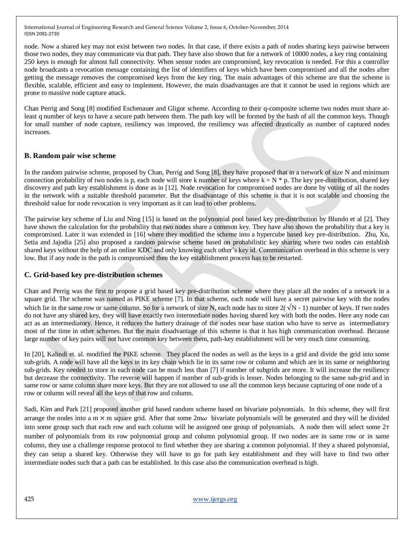node. Now a shared key may not exist between two nodes. In that case, if there exists a path of nodes sharing keys pairwise between those two nodes, they may communicate via that path. They have also shown that for a network of 10000 nodes, a key ring containing 250 keys is enough for almost full connectivity. When sensor nodes are compromised, key revocation is needed. For this a controller node broadcasts a revocation message containing the list of identifiers of keys which have been compromised and all the nodes after getting the message removes the compromised keys from the key ring. The main advantages of this scheme are that the scheme is flexible, scalable, efficient and easy to implement. However, the main disadvantages are that it cannot be used in regions which are prone to massive node capture attack.

Chan Perrig and Song [8] modified Eschenauer and Gligor scheme. According to their q-composite scheme two nodes must share atleast q number of keys to have a secure path between them. The path key will be formed by the hash of all the common keys. Though for small number of node capture, resiliency was improved, the resiliency was affected drastically as number of captured nodes increases.

# **B. Random pair wise scheme**

In the random pairwise scheme, proposed by Chan, Perrig and Song [8], they have proposed that in a network of size N and minimum connection probability of two nodes is p, each node will store k number of keys where  $k = N^* p$ . The key pre-distribution, shared key discovery and path key establishment is done as in [12]. Node revocation for compromised nodes are done by voting of all the nodes in the network with a suitable threshold parameter. But the disadvantage of this scheme is that it is not scalable and choosing the threshold value for node revocation is very important as it can lead to other problems.

The pairwise key scheme of Liu and Ning [15] is based on the polynomial pool based key pre-distribution by Blundo et al [2]. They have shown the calculation for the probability that two nodes share a common key. They have also shown the probability that a key is compromised. Later it was extended in [16] where they modified the scheme into a hypercube based key pre-distribution. Zhu, Xu, Setia and Jajodia [25] also proposed a random pairwise scheme based on probabilistic key sharing where two nodes can establish shared keys without the help of an online KDC and only knowing each other's key id. Communication overhead in this scheme is very low. But if any node in the path is compromised then the key establishment process has to be restarted.

# **C. Grid-based key pre-distribution schemes**

Chan and Perrig was the first to propose a grid based key pre-distribution scheme where they place all the nodes of a network in a square grid. The scheme was named as PIKE scheme [7]. In that scheme, each node will have a secret pairwise key with the nodes which lie in the same row or same column. So for a network of size N, each node has to store  $2(\sqrt{N} - 1)$  number of keys. If two nodes do not have any shared key, they will have exactly two intermediate nodes having shared key with both the nodes. Here any node can act as an intermediatory. Hence, it reduces the battery drainage of the nodes near base station who have to serve as intermediatory most of the time in other schemes. But the main disadvantage of this scheme is that it has high communication overhead. Because large number of key pairs will not have common key between them, path-key establishment will be very much time consuming.

In [20], Kalindi et. al. modified the PIKE scheme. They placed the nodes as well as the keys in a grid and divide the grid into some sub-grids. A node will have all the keys in its key chain which lie in its same row or column and which are in its same or neighboring sub-grids. Key needed to store in each node can be much less than [7] if number of subgrids are more. It will increase the resiliency but decrease the connectivity. The reverse will happen if number of sub-grids is lesser. Nodes belonging to the same sub-grid and in same row or same column share more keys. But they are not allowed to use all the common keys because capturing of one node of a row or column will reveal all the keys of that row and column.

Sadi, Kim and Park [21] proposed another grid based random scheme based on bivariate polynomials. In this scheme, they will first arrange the nodes into a m  $\times$  m square grid. After that some  $2m\omega$  bivariate polynomials will be generated and they will be divided into some group such that each row and each column will be assigned one group of polynomials. A node then will select some  $2\tau$ number of polynomials from its row polynomial group and column polynomial group. If two nodes are in same row or in same column, they use a challenge response protocol to find whether they are sharing a common polynomial. If they a shared polynomial, they can setup a shared key. Otherwise they will have to go for path key establishment and they will have to find two other intermediate nodes such that a path can be established. In this case also the communication overhead is high.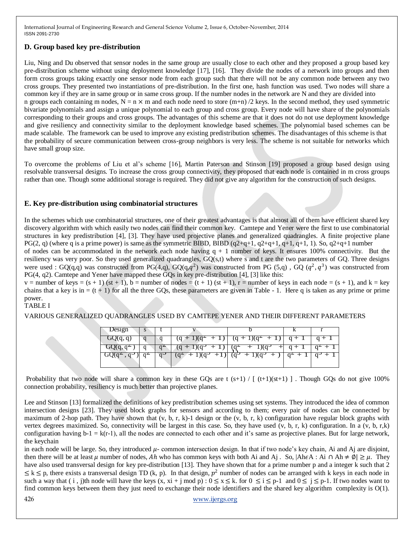# **D. Group based key pre-distribution**

Liu, Ning and Du observed that sensor nodes in the same group are usually close to each other and they proposed a group based key pre-distribution scheme without using deployment knowledge [17], [16]. They divide the nodes of a network into groups and then form cross groups taking exactly one sensor node from each group such that there will not be any common node between any two cross groups. They presented two instantiations of pre-distribution. In the first one, hash function was used. Two nodes will share a common key if they are in same group or in same cross group. If the number nodes in the network are N and they are divided into n groups each containing m nodes,  $N = n \times m$  and each node need to store (m+n) /2 keys. In the second method, they used symmetric bivariate polynomials and assign a unique polynomial to each group and cross group. Every node will have share of the polynomials corresponding to their groups and cross groups. The advantages of this scheme are that it does not do not use deployment knowledge and give resiliency and connectivity similar to the deployment knowledge based schemes. The polynomial based schemes can be made scalable. The framework can be used to improve any existing predistribution schemes. The disadvantages of this scheme is that the probability of secure communication between cross-group neighbors is very less. The scheme is not suitable for networks which have small group size.

To overcome the problems of Liu et al's scheme [16], Martin Paterson and Stinson [19] proposed a group based design using resolvable transversal designs. To increase the cross group connectivity, they proposed that each node is contained in m cross groups rather than one. Though some additional storage is required. They did not give any algorithm for the construction of such designs.

# **E. Key pre-distribution using combinatorial structures**

In the schemes which use combinatorial structures, one of their greatest advantages is that almost all of them have efficient shared key discovery algorithm with which easily two nodes can find their common key. Camtepe and Yener were the first to use combinatorial structures in key predistribution [4], [3]. They have used projective planes and generalized quadrangles. A finite projective plane PG(2, q) (where q is a prime power) is same as the symmetric BIBD, BIBD  $(q2+q+1, q2+q+1, q+1, q+1, 1)$ . So,  $q2+q+1$  number

of nodes can be accommodated in the network each node having  $q + 1$  number of keys. It ensures 100% connectivity. But the resiliency was very poor. So they used generalized quadrangles, GQ(s,t) where s and t are the two parameters of GQ. Three designs were used : GQ(q,q) was constructed from PG(4,q), GQ(q, $q^2$ ) was constructed from PG (5,q), GQ ( $q^2$ , $q^3$ ) was constructed from PG(4, q2). Camtepe and Yener have mapped these GQs in key pre-distribution [4], [3] like this:

 $v =$  number of keys = (s + 1) (st + 1), b = number of nodes = (t + 1) (st + 1), r = number of keys in each node = (s + 1), and k = key chains that a key is in  $= (t + 1)$  for all the three GQs, these parameters are given in Table - 1. Here q is taken as any prime or prime power.

#### TABLE I

VARIOUS GENERALIZED QUADRANGLES USED BY CAMTEPE YENER AND THEIR DIFFERENT PARAMETERS

| Design              |  |                           |                                               |           |       |
|---------------------|--|---------------------------|-----------------------------------------------|-----------|-------|
| $\mathbf{GQ}(q, q)$ |  |                           | $(q + 1)(q^2 + 1)$ $(q + 1)(q^2 + 1)$ $q + 1$ |           | $q+1$ |
|                     |  | $(q + 1)(q^3)$<br>$+1)$   | $1)(q^3$<br>$+$                               | $q + 1$   |       |
| $UQ(q^2, q^3)$      |  | $(q^2 + 1)(q^3)$<br>$+1)$ | $(q^{3} + 1)(q^{3} + )$                       | $q^2 + 1$ |       |

Probability that two node will share a common key in these GQs are t  $(s+1) / [ (t+1)(st+1) ]$ . Though GQs do not give 100% connection probability, resiliency is much better than projective planes.

Lee and Stinson [13] formalized the definitions of key predistribution schemes using set systems. They introduced the idea of common intersection designs [23]. They used block graphs for sensors and according to them; every pair of nodes can be connected by maximum of 2-hop path. They have shown that  $(v, b, r, k)$ -1 design or the  $(v, b, r, k)$  configuration have regular block graphs with vertex degrees maximized. So, connectivity will be largest in this case. So, they have used (v, b, r, k) configuration. In a (v, b, r,k) configuration having  $b-1 = k(r-1)$ , all the nodes are connected to each other and it's same as projective planes. But for large network, the keychain

in each node will be large. So, they introduced  $\mu$ - common intersection design. In that if two node's key chain, Ai and Aj are disjoint, then there will be at least  $\mu$  number of nodes, Ah who has common keys with both Ai and Aj . So,  $|AheA : Ai \cap Ah \neq \emptyset| \geq \mu$ . They have also used transversal design for key pre-distribution [13]. They have shown that for a prime number p and a integer k such that 2  $\leq k \leq p$ , there exists a transversal design TD (k, p). In that design,  $p^2$  number of nodes can be arranged with k keys in each node in such a way that ( i , j)th node will have the keys  $(x, x_i + j \mod p) : 0 \le x \le k$ . for  $0 \le i \le p-1$  and  $0 \le j \le p-1$ . If two nodes want to find common keys between them they just need to exchange their node identifiers and the shared key algorithm complexity is O(1).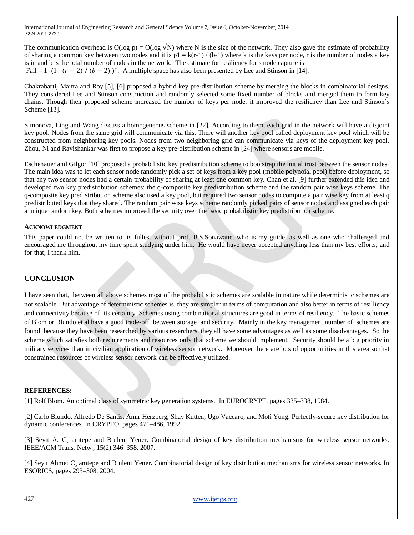The communication overhead is  $O(\log p) = O(\log \sqrt{N})$  where N is the size of the network. They also gave the estimate of probability of sharing a common key between two nodes and it is  $p1 = k(r-1) / (b-1)$  where k is the keys per node, r is the number of nodes a key is in and b is the total number of nodes in the network. The estimate for resiliency for s node capture is Fail = 1 - (1 –( $r - 2$ ) / ( $b - 2$ ) )<sup>s</sup>. A multiple space has also been presented by Lee and Stinson in [14].

Chakrabarti, Maitra and Roy [5], [6] proposed a hybrid key pre-distribution scheme by merging the blocks in combinatorial designs. They considered Lee and Stinson construction and randomly selected some fixed number of blocks and merged them to form key chains. Though their proposed scheme increased the number of keys per node, it improved the resiliency than Lee and Stinson's Scheme [13].

Simonova, Ling and Wang discuss a homogeneous scheme in [22]. According to them, each grid in the network will have a disjoint key pool. Nodes from the same grid will communicate via this. There will another key pool called deployment key pool which will be constructed from neighboring key pools. Nodes from two neighboring grid can communicate via keys of the deployment key pool. Zhou, Ni and Ravishankar was first to propose a key pre-distribution scheme in [24] where sensors are mobile.

Eschenauer and Gilgor [10] proposed a probabilistic key predistribution scheme to bootstrap the initial trust between the sensor nodes. The main idea was to let each sensor node randomly pick a set of keys from a key pool (mobile polynoial pool) before deployment, so that any two sensor nodes had a certain probability of sharing at least one common key. Chan et al. [9] further extended this idea and developed two key predistribution schemes: the q-composite key predistribution scheme and the random pair wise keys scheme. The q-composite key predistribution scheme also used a key pool, but required two sensor nodes to compute a pair wise key from at least q predistributed keys that they shared. The random pair wise keys scheme randomly picked pairs of sensor nodes and assigned each pair a unique random key. Both schemes improved the security over the basic probabilistic key predistribution scheme.

#### **ACKNOWLEDGMENT**

This paper could not be written to its fullest without prof. B.S.Sonawane, who is my guide, as well as one who challenged and encouraged me throughout my time spent studying under him. He would have never accepted anything less than my best efforts, and for that, I thank him.

# **CONCLUSION**

I have seen that, between all above schemes most of the probabilistic schemes are scalable in nature while deterministic schemes are not scalable. But advantage of deterministic schemes is, they are simpler in terms of computation and also better in terms of resilliency and connectivity because of its certainty. Schemes using combinational structures are good in terms of resiliency. The basic schemes of Blom or Blundo et al have a good trade-off between storage and security. Mainly in the key management number of schemes are found because they have been researched by various reserchers, they all have some advantages as well as some disadvantages. So the scheme which satisfies both requirements and resources only that scheme we should implement. Security should be a big priority in military services than in civilian application of wireless sensor network. Moreover there are lots of opportunities in this area so that constrained resources of wireless sensor network can be effectively utilized.

#### **REFERENCES:**

[1] Rolf Blom. An optimal class of symmetric key generation systems. In EUROCRYPT, pages 335–338, 1984.

[2] Carlo Blundo, Alfredo De Santis, Amir Herzberg, Shay Kutten, Ugo Vaccaro, and Moti Yung. Perfectly-secure key distribution for dynamic conferences. In CRYPTO, pages 471–486, 1992.

[3] Seyit A. C¸ amtepe and B¨ulent Yener. Combinatorial design of key distribution mechanisms for wireless sensor networks. IEEE/ACM Trans. Netw., 15(2):346–358, 2007.

[4] Seyit Ahmet C¸ amtepe and B¨ulent Yener. Combinatorial design of key distribution mechanisms for wireless sensor networks. In ESORICS, pages 293–308, 2004.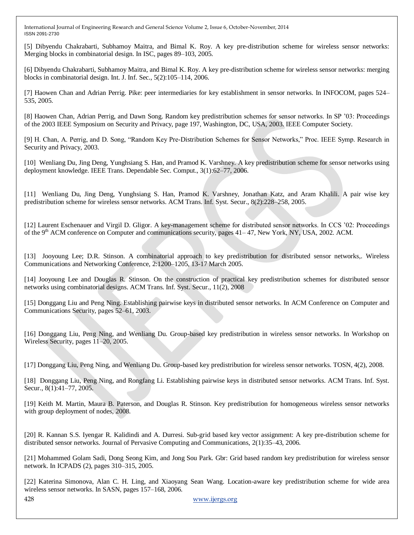[5] Dibyendu Chakrabarti, Subhamoy Maitra, and Bimal K. Roy. A key pre-distribution scheme for wireless sensor networks: Merging blocks in combinatorial design. In ISC, pages 89–103, 2005.

[6] Dibyendu Chakrabarti, Subhamoy Maitra, and Bimal K. Roy. A key pre-distribution scheme for wireless sensor networks: merging blocks in combinatorial design. Int. J. Inf. Sec., 5(2):105–114, 2006.

[7] Haowen Chan and Adrian Perrig. Pike: peer intermediaries for key establishment in sensor networks. In INFOCOM, pages 524– 535, 2005.

[8] Haowen Chan, Adrian Perrig, and Dawn Song. Random key predistribution schemes for sensor networks. In SP '03: Proceedings of the 2003 IEEE Symposium on Security and Privacy, page 197, Washington, DC, USA, 2003. IEEE Computer Society.

[9] H. Chan, A. Perrig, and D. Song, "Random Key Pre-Distribution Schemes for Sensor Networks," Proc. IEEE Symp. Research in Security and Privacy, 2003.

[10] Wenliang Du, Jing Deng, Yunghsiang S. Han, and Pramod K. Varshney. A key predistribution scheme for sensor networks using deployment knowledge. IEEE Trans. Dependable Sec. Comput., 3(1):62–77, 2006.

[11] Wenliang Du, Jing Deng, Yunghsiang S. Han, Pramod K. Varshney, Jonathan Katz, and Aram Khalili. A pair wise key predistribution scheme for wireless sensor networks. ACM Trans. Inf. Syst. Secur., 8(2):228–258, 2005.

[12] Laurent Eschenauer and Virgil D. Gligor. A key-management scheme for distributed sensor networks. In CCS '02: Proceedings of the 9<sup>th</sup> ACM conference on Computer and communications security, pages  $41-47$ , New York, NY, USA, 2002. ACM.

[13] Jooyoung Lee; D.R. Stinson. A combinatorial approach to key predistribution for distributed sensor networks,. Wireless Communications and Networking Conference, 2:1200–1205, 13-17 March 2005.

[14] Jooyoung Lee and Douglas R. Stinson. On the construction of practical key predistribution schemes for distributed sensor networks using combinatorial designs. ACM Trans. Inf. Syst. Secur., 11(2), 2008

[15] Donggang Liu and Peng Ning. Establishing pairwise keys in distributed sensor networks. In ACM Conference on Computer and Communications Security, pages 52–61, 2003.

[16] Donggang Liu, Peng Ning, and Wenliang Du. Group-based key predistribution in wireless sensor networks. In Workshop on Wireless Security, pages 11–20, 2005.

[17] Donggang Liu, Peng Ning, and Wenliang Du. Group-based key predistribution for wireless sensor networks. TOSN, 4(2), 2008.

[18] Donggang Liu, Peng Ning, and Rongfang Li. Establishing pairwise keys in distributed sensor networks. ACM Trans. Inf. Syst. Secur., 8(1):41–77, 2005.

[19] Keith M. Martin, Maura B. Paterson, and Douglas R. Stinson. Key predistribution for homogeneous wireless sensor networks with group deployment of nodes, 2008.

[20] R. Kannan S.S. Iyengar R. Kalidindi and A. Durresi. Sub-grid based key vector assignment: A key pre-distribution scheme for distributed sensor networks. Journal of Pervasive Computing and Communications, 2(1):35–43, 2006.

[21] Mohammed Golam Sadi, Dong Seong Kim, and Jong Sou Park. Gbr: Grid based random key predistribution for wireless sensor network. In ICPADS (2), pages 310–315, 2005.

[22] Katerina Simonova, Alan C. H. Ling, and Xiaoyang Sean Wang. Location-aware key predistribution scheme for wide area wireless sensor networks. In SASN, pages 157–168, 2006.

428 [www.ijergs.org](http://www.ijergs.org/)